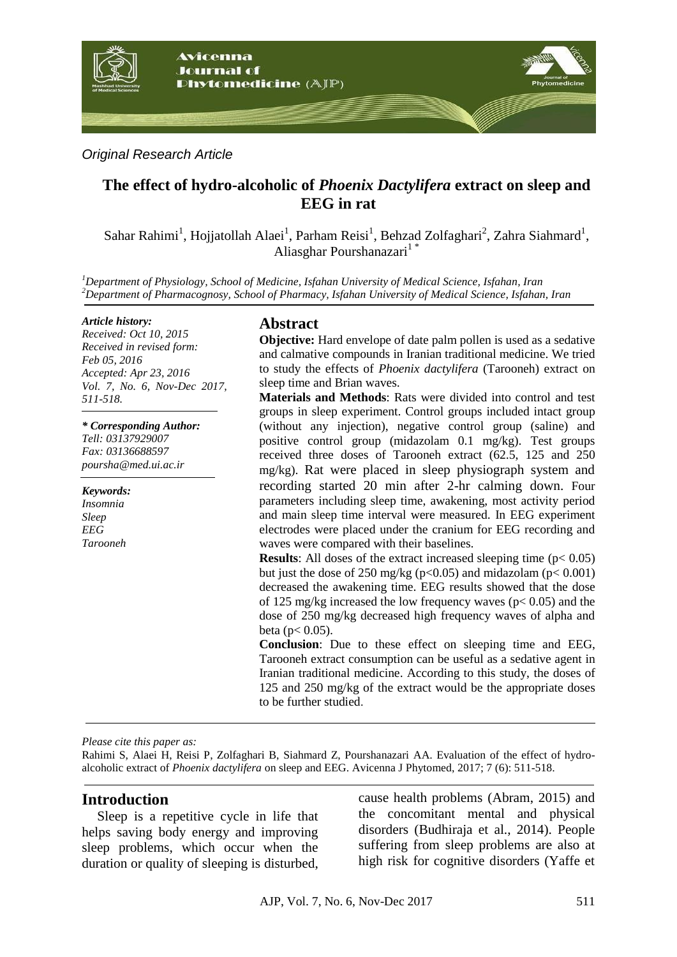

*Original Research Article*

## **The effect of hydro-alcoholic of** *Phoenix Dactylifera* **extract on sleep and EEG in rat**

 $\mathsf{S}$ ahar Rahimi $^1$ , Hojjatollah Alaei $^1$ , Parham Reisi $^1$ , Behzad Zolfaghari $^2$ , Zahra Siahmard $^1$ , Aliasghar Pourshanazari<sup>1</sup>\*

*<sup>1</sup>Department of Physiology, School of Medicine, Isfahan University of Medical Science, Isfahan, Iran <sup>2</sup>Department of Pharmacognosy, School of Pharmacy, Isfahan University of Medical Science, Isfahan, Iran*

#### *Article history:*

*Received: Oct 10, 2015 Received in revised form: Feb 05, 2016 Accepted: Apr 23, 2016 Vol. 7, No. 6, Nov-Dec 2017, 511-518.*

*\* Corresponding Author: Tell: 03137929007 Fax: 03136688597 poursha@med.ui.ac.ir*

*Keywords: Insomnia Sleep EEG Tarooneh*

### **Abstract**

**Objective:** Hard envelope of date palm pollen is used as a sedative and calmative compounds in Iranian traditional medicine. We tried to study the effects of *Phoenix dactylifera* (Tarooneh) extract on sleep time and Brian waves.

**Materials and Methods**: Rats were divided into control and test groups in sleep experiment. Control groups included intact group (without any injection), negative control group (saline) and positive control group (midazolam 0.1 mg/kg). Test groups received three doses of Tarooneh extract (62.5, 125 and 250 mg/kg). Rat were placed in sleep physiograph system and recording started 20 min after 2-hr calming down. Four parameters including sleep time, awakening, most activity period and main sleep time interval were measured. In EEG experiment electrodes were placed under the cranium for EEG recording and waves were compared with their baselines.

**Results**: All doses of the extract increased sleeping time  $(p < 0.05)$ but just the dose of 250 mg/kg ( $p<0.05$ ) and midazolam ( $p<0.001$ ) decreased the awakening time. EEG results showed that the dose of 125 mg/kg increased the low frequency waves (p< 0.05) and the dose of 250 mg/kg decreased high frequency waves of alpha and beta ( $p < 0.05$ ).

**Conclusion**: Due to these effect on sleeping time and EEG, Tarooneh extract consumption can be useful as a sedative agent in Iranian traditional medicine. According to this study, the doses of 125 and 250 mg/kg of the extract would be the appropriate doses to be further studied.

*Please cite this paper as:* 

Rahimi S, Alaei H, Reisi P, Zolfaghari B, Siahmard Z, Pourshanazari AA. Evaluation of the effect of hydroalcoholic extract of *Phoenix dactylifera* on sleep and EEG. Avicenna J Phytomed, 2017; 7 (6): 511-518.

### **Introduction**

Sleep is a repetitive cycle in life that helps saving body energy and improving sleep problems, which occur when the duration or quality of sleeping is disturbed,

cause health problems (Abram, 2015) and the concomitant mental and physical disorders (Budhiraja et al., 2014). People suffering from sleep problems are also at high risk for cognitive disorders (Yaffe et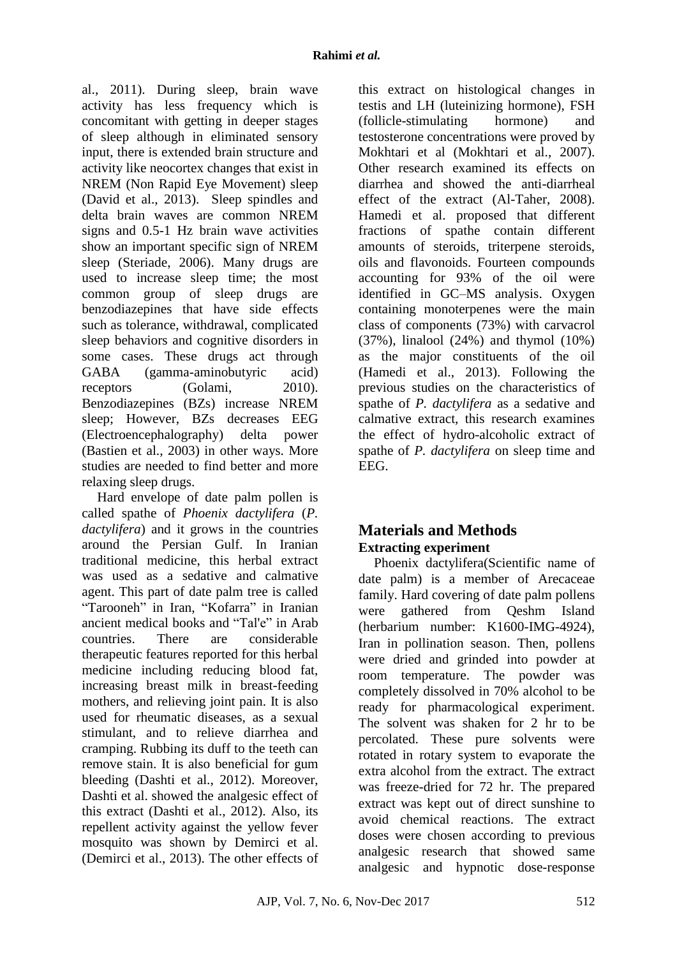al., 2011). During sleep, brain wave activity has less frequency which is concomitant with getting in deeper stages of sleep although in eliminated sensory input, there is extended brain structure and activity like neocortex changes that exist in NREM (Non Rapid Eye Movement) sleep (David et al., 2013). Sleep spindles and delta brain waves are common NREM signs and 0.5-1 Hz brain wave activities show an important specific sign of NREM sleep (Steriade, 2006). Many drugs are used to increase sleep time; the most common group of sleep drugs are benzodiazepines that have side effects such as tolerance, withdrawal, complicated sleep behaviors and cognitive disorders in some cases. These drugs act through GABA (gamma-aminobutyric acid) receptors (Golami, 2010). Benzodiazepines (BZs) increase NREM sleep; However, BZs decreases EEG (Electroencephalography) delta power (Bastien et al., 2003) in other ways. More studies are needed to find better and more relaxing sleep drugs.

Hard envelope of date palm pollen is called spathe of *Phoenix dactylifera* (*P. dactylifera*) and it grows in the countries around the Persian Gulf. In Iranian traditional medicine, this herbal extract was used as a sedative and calmative agent. This part of date palm tree is called "Tarooneh" in Iran, "Kofarra" in Iranian ancient medical books and "Tal'e" in Arab countries. There are considerable therapeutic features reported for this herbal medicine including reducing blood fat, increasing breast milk in breast-feeding mothers, and relieving joint pain. It is also used for rheumatic diseases, as a sexual stimulant, and to relieve diarrhea and cramping. Rubbing its duff to the teeth can remove stain. It is also beneficial for gum bleeding (Dashti et al., 2012). Moreover, Dashti et al. showed the analgesic effect of this extract (Dashti et al., 2012). Also, its repellent activity against the yellow fever mosquito was shown by Demirci et al. (Demirci et al., 2013). The other effects of this extract on histological changes in testis and LH (luteinizing hormone), FSH (follicle-stimulating hormone) and testosterone concentrations were proved by Mokhtari et al (Mokhtari et al., 2007). Other research examined its effects on diarrhea and showed the anti-diarrheal effect of the extract (Al-Taher, 2008). Hamedi et al. proposed that different fractions of spathe contain different amounts of steroids, triterpene steroids, oils and flavonoids. Fourteen compounds accounting for 93% of the oil were identified in GC–MS analysis. Oxygen containing monoterpenes were the main class of components (73%) with carvacrol (37%), linalool (24%) and thymol (10%) as the major constituents of the oil (Hamedi et al., 2013). Following the previous studies on the characteristics of spathe of *P. dactylifera* as a sedative and calmative extract, this research examines the effect of hydro-alcoholic extract of spathe of *P. dactylifera* on sleep time and EEG.

# **Materials and Methods Extracting experiment**

Phoenix dactylifera(Scientific name of date palm) is a member of Arecaceae family. Hard covering of date palm pollens were gathered from Qeshm Island (herbarium number: K1600-IMG-4924), Iran in pollination season. Then, pollens were dried and grinded into powder at room temperature. The powder was completely dissolved in 70% alcohol to be ready for pharmacological experiment. The solvent was shaken for 2 hr to be percolated. These pure solvents were rotated in rotary system to evaporate the extra alcohol from the extract. The extract was freeze-dried for 72 hr. The prepared extract was kept out of direct sunshine to avoid chemical reactions. The extract doses were chosen according to previous analgesic research that showed same analgesic and hypnotic dose-response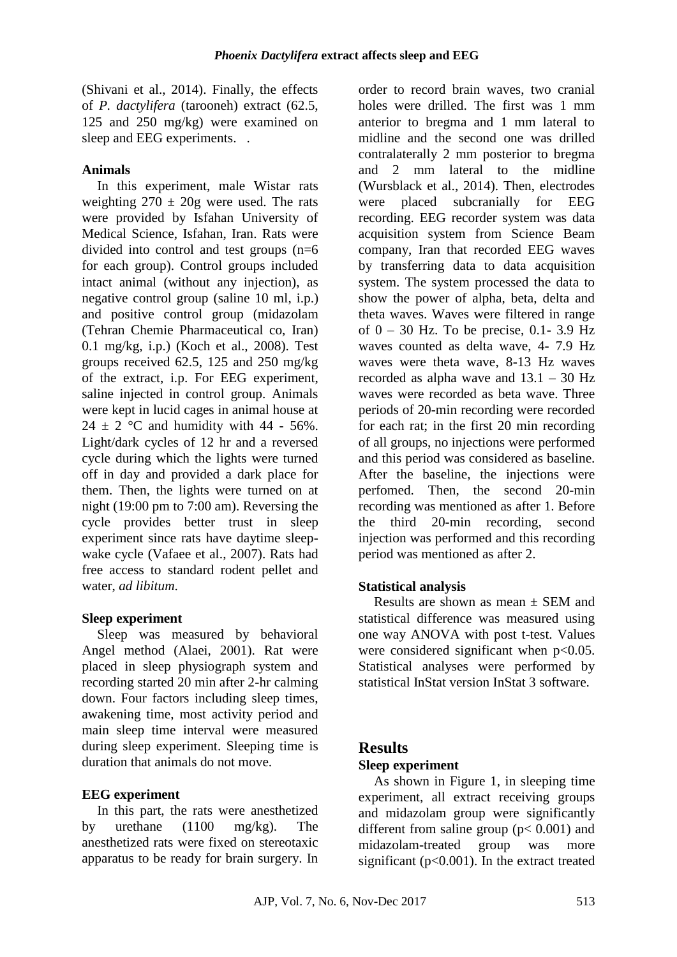(Shivani et al., 2014). Finally, the effects of *P. dactylifera* (tarooneh) extract (62.5, 125 and 250 mg/kg) were examined on sleep and EEG experiments...

### **Animals**

In this experiment, male Wistar rats weighting  $270 \pm 20$ g were used. The rats were provided by Isfahan University of Medical Science, Isfahan, Iran. Rats were divided into control and test groups (n=6 for each group). Control groups included intact animal (without any injection), as negative control group (saline 10 ml, i.p.) and positive control group (midazolam (Tehran Chemie Pharmaceutical co, Iran) 0.1 mg/kg, i.p.) (Koch et al., 2008). Test groups received 62.5, 125 and 250 mg/kg of the extract, i.p. For EEG experiment, saline injected in control group. Animals were kept in lucid cages in animal house at 24  $\pm$  2 °C and humidity with 44 - 56%. Light/dark cycles of 12 hr and a reversed cycle during which the lights were turned off in day and provided a dark place for them. Then, the lights were turned on at night (19:00 pm to 7:00 am). Reversing the cycle provides better trust in sleep experiment since rats have daytime sleepwake cycle (Vafaee et al., 2007). Rats had free access to standard rodent pellet and water, *ad libitum*.

### **Sleep experiment**

Sleep was measured by behavioral Angel method (Alaei, 2001). Rat were placed in sleep physiograph system and recording started 20 min after 2-hr calming down. Four factors including sleep times, awakening time, most activity period and main sleep time interval were measured during sleep experiment. Sleeping time is duration that animals do not move.

### **EEG experiment**

In this part, the rats were anesthetized by urethane (1100 mg/kg). The anesthetized rats were fixed on stereotaxic apparatus to be ready for brain surgery. In

order to record brain waves, two cranial holes were drilled. The first was 1 mm anterior to bregma and 1 mm lateral to midline and the second one was drilled contralaterally 2 mm posterior to bregma and 2 mm lateral to the midline (Wursblack et al., 2014). Then, electrodes were placed subcranially for EEG recording. EEG recorder system was data acquisition system from Science Beam company, Iran that recorded EEG waves by transferring data to data acquisition system. The system processed the data to show the power of alpha, beta, delta and theta waves. Waves were filtered in range of  $0 - 30$  Hz. To be precise, 0.1- 3.9 Hz waves counted as delta wave, 4- 7.9 Hz waves were theta wave, 8-13 Hz waves recorded as alpha wave and 13.1 – 30 Hz waves were recorded as beta wave. Three periods of 20-min recording were recorded for each rat; in the first 20 min recording of all groups, no injections were performed and this period was considered as baseline. After the baseline, the injections were perfomed. Then, the second 20-min recording was mentioned as after 1. Before the third 20-min recording, second injection was performed and this recording period was mentioned as after 2.

## **Statistical analysis**

Results are shown as mean  $\pm$  SEM and statistical difference was measured using one way ANOVA with post t-test. Values were considered significant when  $p<0.05$ . Statistical analyses were performed by statistical InStat version InStat 3 software.

## **Results**

### **Sleep experiment**

As shown in Figure 1, in sleeping time experiment, all extract receiving groups and midazolam group were significantly different from saline group ( $p < 0.001$ ) and midazolam-treated group was more significant ( $p<0.001$ ). In the extract treated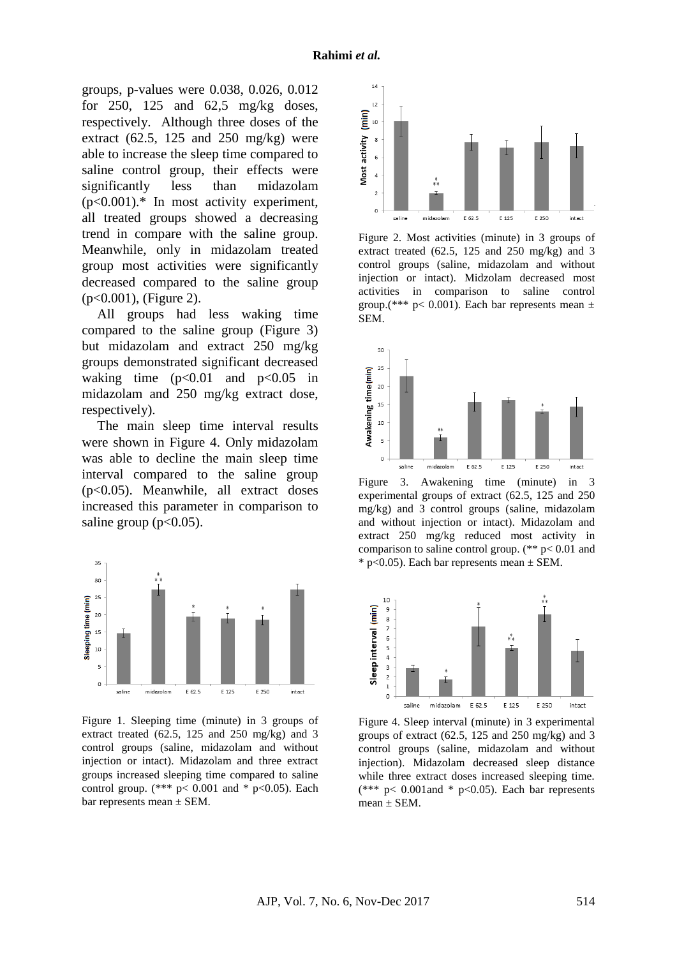groups, p-values were 0.038, 0.026, 0.012 for 250, 125 and 62,5 mg/kg doses, respectively. Although three doses of the extract  $(62.5, 125 \text{ and } 250 \text{ mg/kg})$  were able to increase the sleep time compared to saline control group, their effects were significantly less than midazolam (p<0.001).\* In most activity experiment, all treated groups showed a decreasing trend in compare with the saline group. Meanwhile, only in midazolam treated group most activities were significantly decreased compared to the saline group (p<0.001), (Figure 2).

All groups had less waking time compared to the saline group (Figure 3) but midazolam and extract 250 mg/kg groups demonstrated significant decreased waking time  $(p<0.01$  and  $p<0.05$  in midazolam and 250 mg/kg extract dose, respectively).

The main sleep time interval results were shown in Figure 4. Only midazolam was able to decline the main sleep time interval compared to the saline group (p<0.05). Meanwhile, all extract doses increased this parameter in comparison to saline group  $(p<0.05)$ .



Figure 1. Sleeping time (minute) in 3 groups of extract treated (62.5, 125 and 250 mg/kg) and 3 control groups (saline, midazolam and without injection or intact). Midazolam and three extract groups increased sleeping time compared to saline control group. (\*\*\*  $p < 0.001$  and \*  $p < 0.05$ ). Each bar represents mean  $\pm$  SEM.



Figure 2. Most activities (minute) in 3 groups of extract treated  $(62.5, 125, 125, 125)$  mg/kg) and 3 control groups (saline, midazolam and without injection or intact). Midzolam decreased most activities in comparison to saline control group.(\*\*\*  $p < 0.001$ ). Each bar represents mean  $\pm$ SEM.



Figure 3. Awakening time (minute) in 3 experimental groups of extract (62.5, 125 and 250 mg/kg) and 3 control groups (saline, midazolam and without injection or intact). Midazolam and extract 250 mg/kg reduced most activity in comparison to saline control group. (\*\* p< 0.01 and  $*$  p<0.05). Each bar represents mean  $\pm$  SEM.



Figure 4. Sleep interval (minute) in 3 experimental groups of extract  $(62.5, 125, 125, 125)$  mg/kg) and 3 control groups (saline, midazolam and without injection). Midazolam decreased sleep distance while three extract doses increased sleeping time. (\*\*\*  $p$ < 0.001 and \*  $p$  < 0.05). Each bar represents  $mean \pm SEM$ .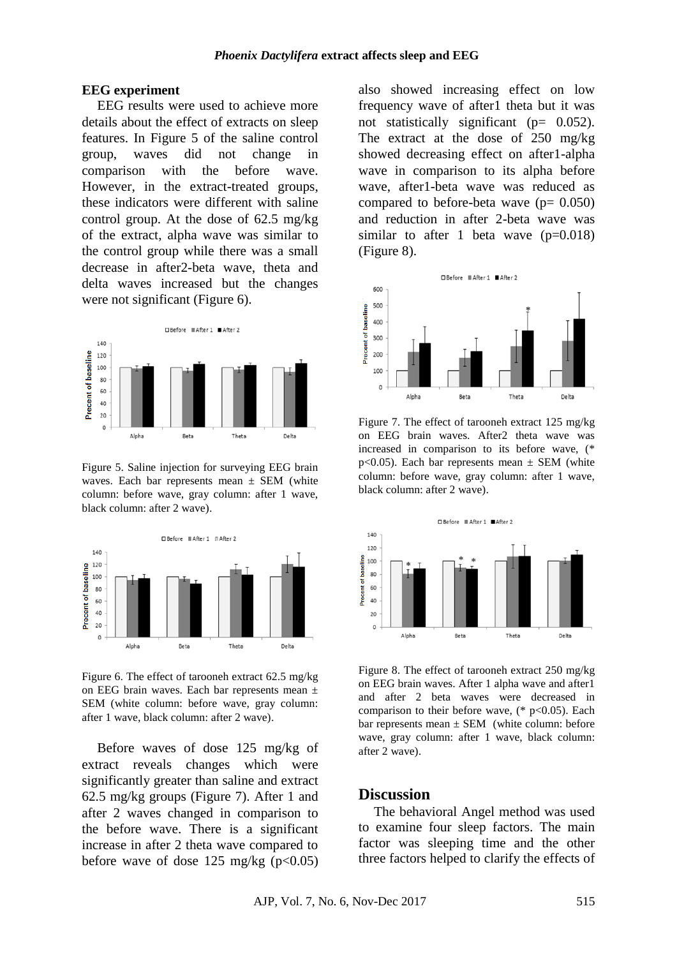#### **EEG experiment**

EEG results were used to achieve more details about the effect of extracts on sleep features. In Figure 5 of the saline control group, waves did not change in comparison with the before wave. However, in the extract-treated groups, these indicators were different with saline control group. At the dose of 62.5 mg/kg of the extract, alpha wave was similar to the control group while there was a small decrease in after2-beta wave, theta and delta waves increased but the changes were not significant (Figure 6).



Figure 5. Saline injection for surveying EEG brain waves. Each bar represents mean  $\pm$  SEM (white column: before wave, gray column: after 1 wave, black column: after 2 wave).



Figure 6. The effect of tarooneh extract 62.5 mg/kg on EEG brain waves. Each bar represents mean ± SEM (white column: before wave, gray column: after 1 wave, black column: after 2 wave).

Before waves of dose 125 mg/kg of extract reveals changes which were significantly greater than saline and extract 62.5 mg/kg groups (Figure 7). After 1 and after 2 waves changed in comparison to the before wave. There is a significant increase in after 2 theta wave compared to before wave of dose 125 mg/kg  $(p<0.05)$  also showed increasing effect on low frequency wave of after1 theta but it was not statistically significant (p= 0.052). The extract at the dose of 250 mg/kg showed decreasing effect on after1-alpha wave in comparison to its alpha before wave, after1-beta wave was reduced as compared to before-beta wave  $(p= 0.050)$ and reduction in after 2-beta wave was similar to after 1 beta wave  $(p=0.018)$ (Figure 8).



Figure 7. The effect of tarooneh extract 125 mg/kg on EEG brain waves. After2 theta wave was increased in comparison to its before wave, (\* p<0.05). Each bar represents mean  $\pm$  SEM (white column: before wave, gray column: after 1 wave, black column: after 2 wave).



Figure 8. The effect of tarooneh extract 250 mg/kg on EEG brain waves. After 1 alpha wave and after1 and after 2 beta waves were decreased in comparison to their before wave,  $(*p<0.05)$ . Each bar represents mean  $\pm$  SEM (white column: before wave, gray column: after 1 wave, black column: after 2 wave).

#### **Discussion**

The behavioral Angel method was used to examine four sleep factors. The main factor was sleeping time and the other three factors helped to clarify the effects of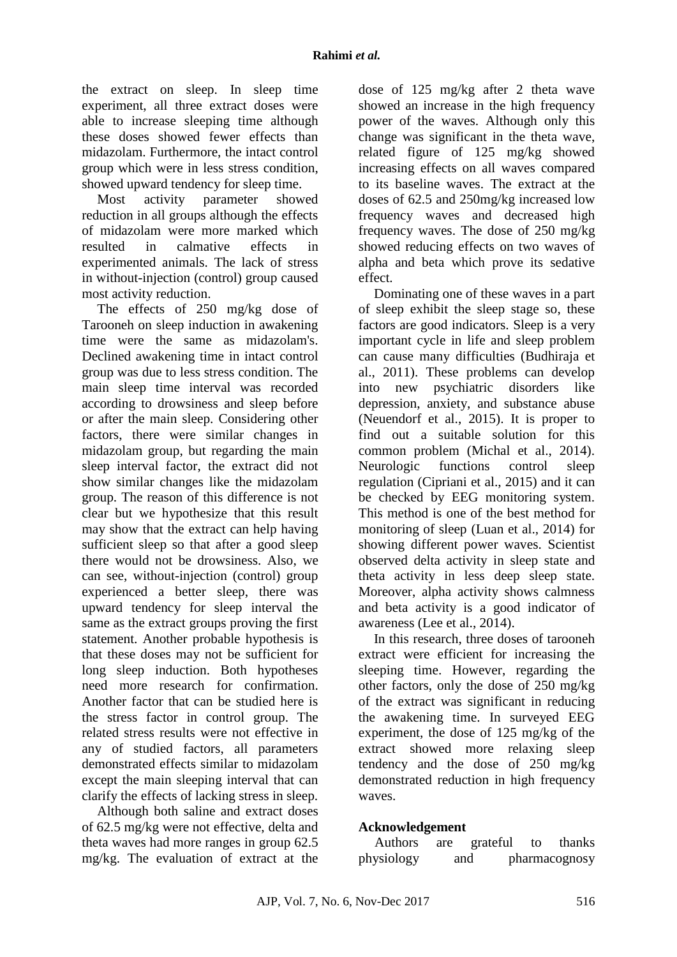the extract on sleep. In sleep time experiment, all three extract doses were able to increase sleeping time although these doses showed fewer effects than midazolam. Furthermore, the intact control group which were in less stress condition, showed upward tendency for sleep time.

Most activity parameter showed reduction in all groups although the effects of midazolam were more marked which resulted in calmative effects in experimented animals. The lack of stress in without-injection (control) group caused most activity reduction.

The effects of 250 mg/kg dose of Tarooneh on sleep induction in awakening time were the same as midazolam's. Declined awakening time in intact control group was due to less stress condition. The main sleep time interval was recorded according to drowsiness and sleep before or after the main sleep. Considering other factors, there were similar changes in midazolam group, but regarding the main sleep interval factor, the extract did not show similar changes like the midazolam group. The reason of this difference is not clear but we hypothesize that this result may show that the extract can help having sufficient sleep so that after a good sleep there would not be drowsiness. Also, we can see, without-injection (control) group experienced a better sleep, there was upward tendency for sleep interval the same as the extract groups proving the first statement. Another probable hypothesis is that these doses may not be sufficient for long sleep induction. Both hypotheses need more research for confirmation. Another factor that can be studied here is the stress factor in control group. The related stress results were not effective in any of studied factors, all parameters demonstrated effects similar to midazolam except the main sleeping interval that can clarify the effects of lacking stress in sleep.

Although both saline and extract doses of 62.5 mg/kg were not effective, delta and theta waves had more ranges in group 62.5 mg/kg. The evaluation of extract at the dose of 125 mg/kg after 2 theta wave showed an increase in the high frequency power of the waves. Although only this change was significant in the theta wave, related figure of 125 mg/kg showed increasing effects on all waves compared to its baseline waves. The extract at the doses of 62.5 and 250mg/kg increased low frequency waves and decreased high frequency waves. The dose of 250 mg/kg showed reducing effects on two waves of alpha and beta which prove its sedative effect.

Dominating one of these waves in a part of sleep exhibit the sleep stage so, these factors are good indicators. Sleep is a very important cycle in life and sleep problem can cause many difficulties (Budhiraja et al., 2011). These problems can develop into new psychiatric disorders like depression, anxiety, and substance abuse (Neuendorf et al., 2015). It is proper to find out a suitable solution for this common problem (Michal et al., 2014). Neurologic functions control sleep regulation (Cipriani et al., 2015) and it can be checked by EEG monitoring system. This method is one of the best method for monitoring of sleep (Luan et al., 2014) for showing different power waves. Scientist observed delta activity in sleep state and theta activity in less deep sleep state. Moreover, alpha activity shows calmness and beta activity is a good indicator of awareness (Lee et al., 2014).

In this research, three doses of tarooneh extract were efficient for increasing the sleeping time. However, regarding the other factors, only the dose of 250 mg/kg of the extract was significant in reducing the awakening time. In surveyed EEG experiment, the dose of 125 mg/kg of the extract showed more relaxing sleep tendency and the dose of 250 mg/kg demonstrated reduction in high frequency waves.

## **Acknowledgement**

Authors are grateful to thanks physiology and pharmacognosy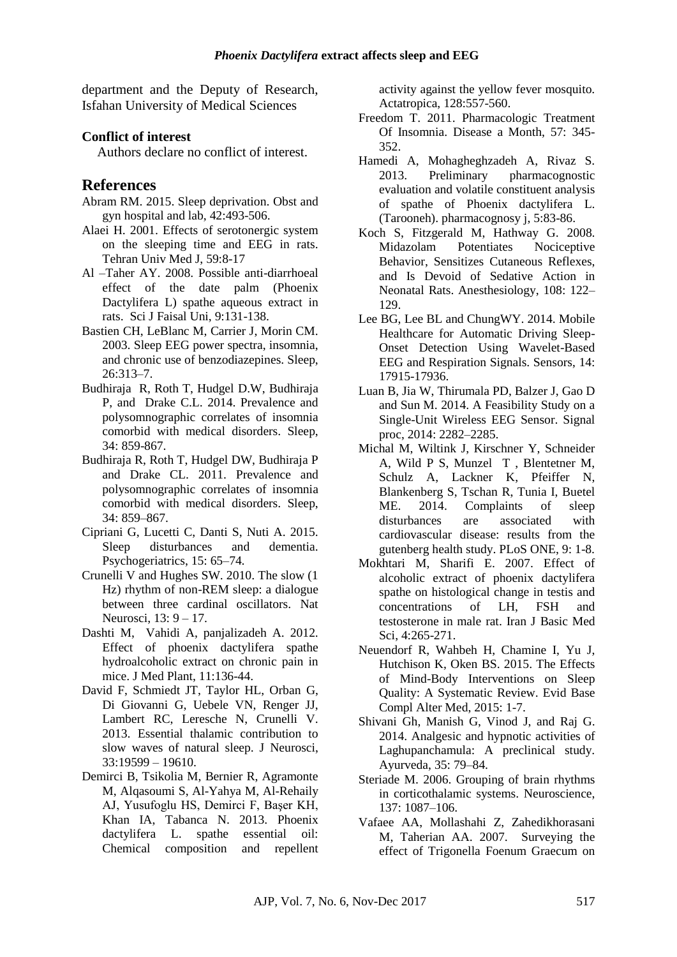department and the Deputy of Research, Isfahan University of Medical Sciences

#### **Conflict of interest**

Authors declare no conflict of interest.

### **References**

- Abram RM. 2015. Sleep deprivation. Obst and gyn hospital and lab, 42:493-506.
- Alaei H. 2001. Effects of serotonergic system on the sleeping time and EEG in rats. Tehran Univ Med J, 59:8-17
- Al –Taher AY. 2008. Possible anti-diarrhoeal effect of the date palm (Phoenix Dactylifera L) spathe aqueous extract in rats. Sci J Faisal Uni, 9:131-138.
- Bastien CH, LeBlanc M, Carrier J, Morin CM. 2003. Sleep EEG power spectra, insomnia, and chronic use of benzodiazepines. Sleep, 26:313–7.
- Budhiraja R, Roth T, Hudgel D.W, Budhiraja P, and Drake C.L. 2014. Prevalence and polysomnographic correlates of insomnia comorbid with medical disorders. Sleep, 34: 859-867.
- Budhiraja R, Roth T, Hudgel DW, Budhiraja P and Drake CL. 2011. Prevalence and polysomnographic correlates of insomnia comorbid with medical disorders. Sleep, 34: 859–867.
- Cipriani G, Lucetti C, Danti S, Nuti A. 2015. Sleep disturbances and dementia. Psychogeriatrics, 15: 65–74.
- Crunelli V and Hughes SW. 2010. The slow (1 Hz) rhythm of non-REM sleep: a dialogue between three cardinal oscillators. Nat Neurosci, 13: 9 – 17.
- Dashti M, Vahidi A, panjalizadeh A. 2012. Effect of phoenix dactylifera spathe hydroalcoholic extract on chronic pain in mice. J Med Plant, 11:136-44.
- David F, Schmiedt JT, Taylor HL, Orban G, Di Giovanni G, Uebele VN, Renger JJ, Lambert RC, Leresche N, Crunelli V. 2013. Essential thalamic contribution to slow waves of natural sleep. J Neurosci, 33:19599 – 19610.
- Demirci B, Tsikolia M, Bernier R, Agramonte M, Alqasoumi S, Al-Yahya M, Al-Rehaily AJ, Yusufoglu HS, Demirci F, Başer KH, Khan IA, Tabanca N. 2013. Phoenix dactylifera L. spathe essential oil: Chemical composition and repellent

activity against the yellow fever mosquito. Actatropica, 128:557-560.

- Freedom T. 2011. Pharmacologic Treatment Of Insomnia. Disease a Month, 57: 345- 352.
- Hamedi A, Mohagheghzadeh A, Rivaz S. 2013. Preliminary pharmacognostic evaluation and volatile constituent analysis of spathe of Phoenix dactylifera L. (Tarooneh). pharmacognosy j, 5:83-86.
- Koch S, Fitzgerald M, Hathway G. 2008. Midazolam Potentiates Nociceptive Behavior, Sensitizes Cutaneous Reflexes, and Is Devoid of Sedative Action in Neonatal Rats. Anesthesiology, 108: 122– 129.
- Lee BG, Lee BL and ChungWY. 2014. Mobile Healthcare for Automatic Driving Sleep-Onset Detection Using Wavelet-Based EEG and Respiration Signals. Sensors, 14: 17915-17936.
- Luan B, Jia W, Thirumala PD, Balzer J, Gao D and Sun M. 2014. A Feasibility Study on a Single-Unit Wireless EEG Sensor. Signal proc, 2014: 2282–2285.
- Michal M, Wiltink J, Kirschner Y, Schneider A, Wild P S, Munzel T , Blentetner M, Schulz A, Lackner K, Pfeiffer N, Blankenberg S, Tschan R, Tunia I, Buetel ME. 2014. Complaints of sleep disturbances are associated with cardiovascular disease: results from the gutenberg health study. PLoS ONE, 9: 1-8.
- Mokhtari M, Sharifi E. 2007. Effect of alcoholic extract of phoenix dactylifera spathe on histological change in testis and concentrations of LH, FSH and testosterone in male rat. Iran J Basic Med Sci, 4:265-271.
- Neuendorf R, Wahbeh H, Chamine I, Yu J, Hutchison K, Oken BS. 2015. The Effects of Mind-Body Interventions on Sleep Quality: A Systematic Review. Evid Base Compl Alter Med, 2015: 1-7.
- Shivani Gh, Manish G, Vinod J, and Raj G. 2014. Analgesic and hypnotic activities of Laghupanchamula: A preclinical study. Ayurveda, 35: 79–84.
- Steriade M. 2006. Grouping of brain rhythms in corticothalamic systems. Neuroscience, 137: 1087–106.
- Vafaee AA, Mollashahi Z, Zahedikhorasani M, Taherian AA. 2007. Surveying the effect of Trigonella Foenum Graecum on